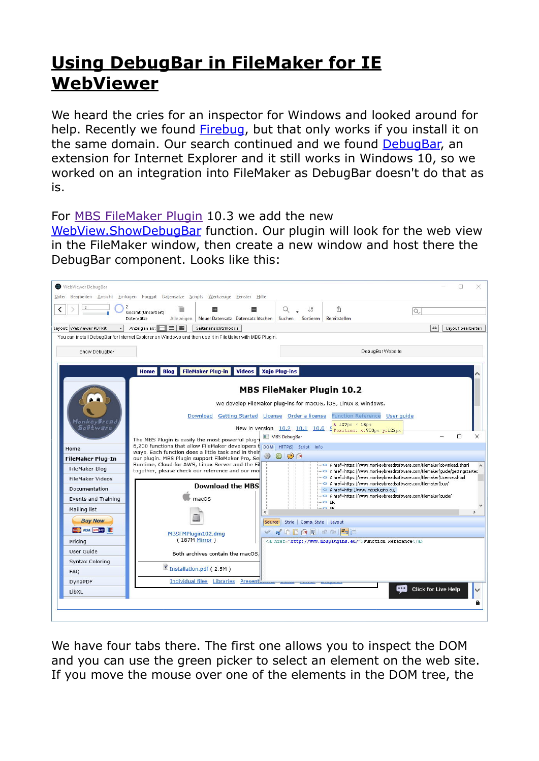## **[Using DebugBar in FileMaker for IE](https://www.mbsplugins.net/archive/2020-07-02/Using_DebugBar_in_FileMaker_fo/monkeybreadsoftware_blog_archive)  [WebViewer](https://www.mbsplugins.net/archive/2020-07-02/Using_DebugBar_in_FileMaker_fo/monkeybreadsoftware_blog_archive)**

We heard the cries for an inspector for Windows and looked around for help. Recently we found [Firebug](https://www.mbs-plugins.com/archive/2020-06-28/Firebug_as_Web_Inspector_for_F/monkeybreadsoftware_blog_filemaker), but that only works if you install it on the same domain. Our search continued and we found [DebugBar,](https://www.debugbar.com/) an extension for Internet Explorer and it still works in Windows 10, so we worked on an integration into FileMaker as DebugBar doesn't do that as is.

For [MBS FileMaker Plugin](https://www.monkeybreadsoftware.com/filemaker/) 10.3 we add the new

[WebView.ShowDebugBar](https://www.mbsplugins.eu/WebViewShowDebugBar.shtml) function. Our plugin will look for the web view in the FileMaker window, then create a new window and host there the DebugBar component. Looks like this:



We have four tabs there. The first one allows you to inspect the DOM and you can use the green picker to select an element on the web site. If you move the mouse over one of the elements in the DOM tree, the